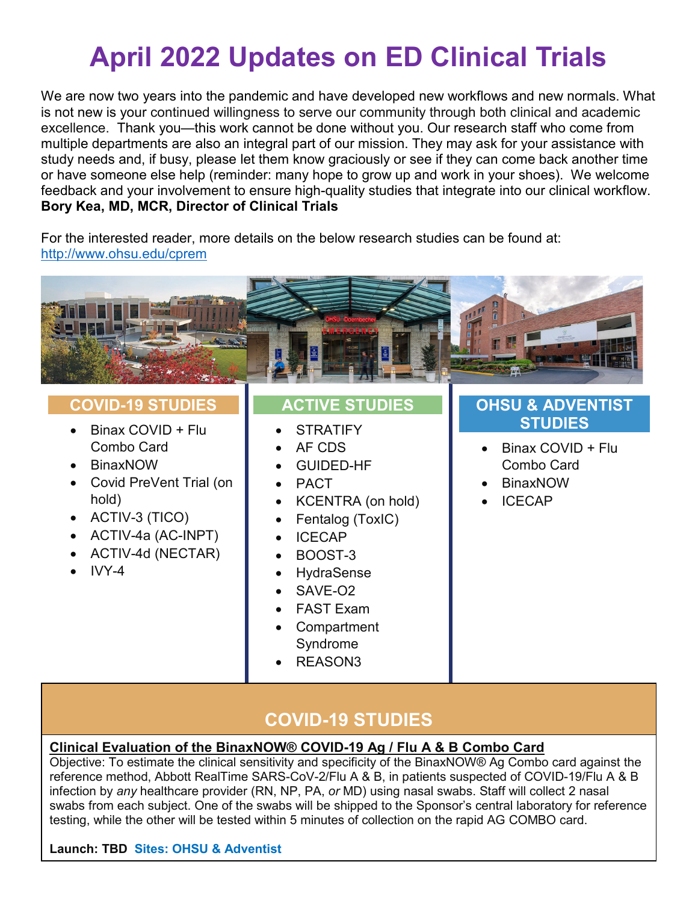# **April 2022 Updates on ED Clinical Trials**

We are now two years into the pandemic and have developed new workflows and new normals. What is not new is your continued willingness to serve our community through both clinical and academic excellence. Thank you—this work cannot be done without you. Our research staff who come from multiple departments are also an integral part of our mission. They may ask for your assistance with study needs and, if busy, please let them know graciously or see if they can come back another time or have someone else help (reminder: many hope to grow up and work in your shoes). We welcome feedback and your involvement to ensure high-quality studies that integrate into our clinical workflow. **Bory Kea, MD, MCR, Director of Clinical Trials**

For the interested reader, more details on the below research studies can be found at: <http://www.ohsu.edu/cprem>



# **COVID-19 STUDIES**

- Binax COVID + Flu Combo Card
- BinaxNOW
- Covid PreVent Trial (on hold)
- ACTIV-3 (TICO)
- ACTIV-4a (AC-INPT)
- ACTIV-4d (NECTAR)
- $\bullet$  IVY-4

# **ACTIVE STUDIES**

- **STRATIFY**
- AF CDS
- GUIDED-HF
- PACT
- KCENTRA (on hold)
- Fentalog (ToxIC)
- ICECAP
- BOOST-3
- **HydraSense**
- SAVE-O2
- FAST Exam
- **Compartment** Syndrome
- REASON3

# **OHSU & ADVENTIST STUDIES**

- Binax COVID + Flu Combo Card
- BinaxNOW
- ICECAP

# **COVID-19 STUDIES**

# **Clinical Evaluation of the BinaxNOW® COVID-19 Ag / Flu A & B Combo Card**

Objective: To estimate the clinical sensitivity and specificity of the BinaxNOW® Ag Combo card against the reference method, Abbott RealTime SARS-CoV-2/Flu A & B, in patients suspected of COVID-19/Flu A & B infection by *any* healthcare provider (RN, NP, PA, *or* MD) using nasal swabs. Staff will collect 2 nasal swabs from each subject. One of the swabs will be shipped to the Sponsor's central laboratory for reference testing, while the other will be tested within 5 minutes of collection on the rapid AG COMBO card.

# **Launch: TBD Sites: OHSU & Adventist**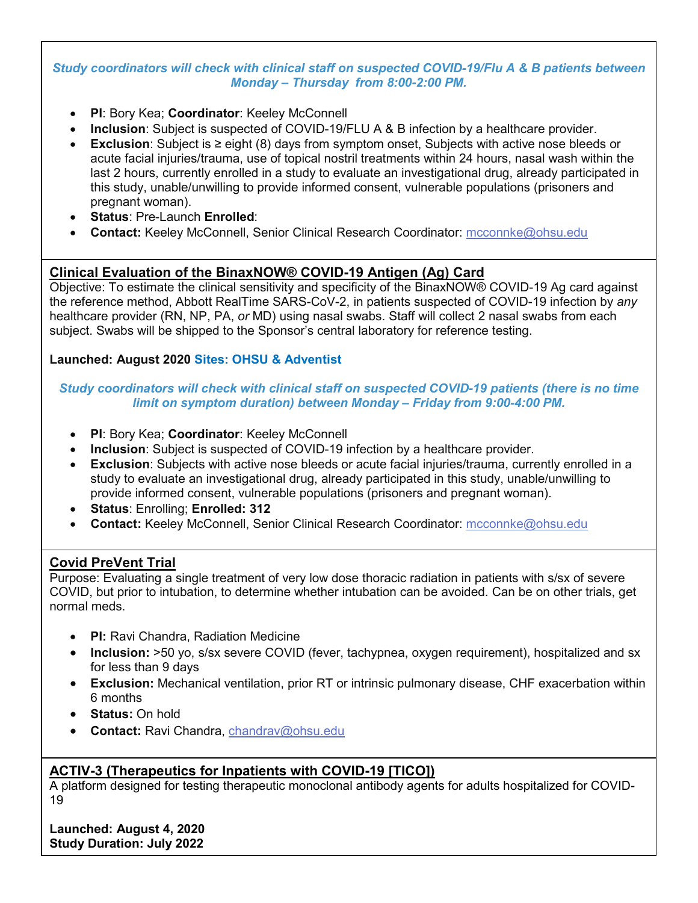#### *Study coordinators will check with clinical staff on suspected COVID-19/Flu A & B patients between Monday – Thursday from 8:00-2:00 PM.*

- **PI**: Bory Kea; **Coordinator**: Keeley McConnell
- **Inclusion**: Subject is suspected of COVID-19/FLU A & B infection by a healthcare provider.
- **Exclusion**: Subject is ≥ eight (8) days from symptom onset, Subjects with active nose bleeds or acute facial injuries/trauma, use of topical nostril treatments within 24 hours, nasal wash within the last 2 hours, currently enrolled in a study to evaluate an investigational drug, already participated in this study, unable/unwilling to provide informed consent, vulnerable populations (prisoners and pregnant woman).
- **Status**: Pre-Launch **Enrolled**:
- **Contact:** Keeley McConnell, Senior Clinical Research Coordinator: [mcconnke@ohsu.edu](mailto:mcconnke@ohsu.edu)

### **Clinical Evaluation of the BinaxNOW® COVID-19 Antigen (Ag) Card**

Objective: To estimate the clinical sensitivity and specificity of the BinaxNOW® COVID-19 Ag card against the reference method, Abbott RealTime SARS-CoV-2, in patients suspected of COVID-19 infection by *any* healthcare provider (RN, NP, PA, *or* MD) using nasal swabs. Staff will collect 2 nasal swabs from each subject. Swabs will be shipped to the Sponsor's central laboratory for reference testing.

#### **Launched: August 2020 Sites: OHSU & Adventist**

#### *Study coordinators will check with clinical staff on suspected COVID-19 patients (there is no time limit on symptom duration) between Monday – Friday from 9:00-4:00 PM.*

- **PI**: Bory Kea; **Coordinator**: Keeley McConnell
- **Inclusion**: Subject is suspected of COVID-19 infection by a healthcare provider.
- **Exclusion**: Subjects with active nose bleeds or acute facial injuries/trauma, currently enrolled in a study to evaluate an investigational drug, already participated in this study, unable/unwilling to provide informed consent, vulnerable populations (prisoners and pregnant woman).
- **Status**: Enrolling; **Enrolled: 312**
- **Contact:** Keeley McConnell, Senior Clinical Research Coordinator: [mcconnke@ohsu.edu](mailto:mcconnke@ohsu.edu)

#### **Covid PreVent Trial**

Purpose: Evaluating a single treatment of very low dose thoracic radiation in patients with s/sx of severe COVID, but prior to intubation, to determine whether intubation can be avoided. Can be on other trials, get normal meds.

- **PI:** Ravi Chandra, Radiation Medicine
- **Inclusion:** >50 yo, s/sx severe COVID (fever, tachypnea, oxygen requirement), hospitalized and sx for less than 9 days
- **Exclusion:** Mechanical ventilation, prior RT or intrinsic pulmonary disease, CHF exacerbation within 6 months
- **Status:** On hold
- **Contact:** Ravi Chandra, [chandrav@ohsu.edu](mailto:chandrav@ohsu.edu)

#### **ACTIV-3 (Therapeutics for Inpatients with COVID-19 [TICO])**

A platform designed for testing therapeutic monoclonal antibody agents for adults hospitalized for COVID-19

**Launched: August 4, 2020 Study Duration: July 2022**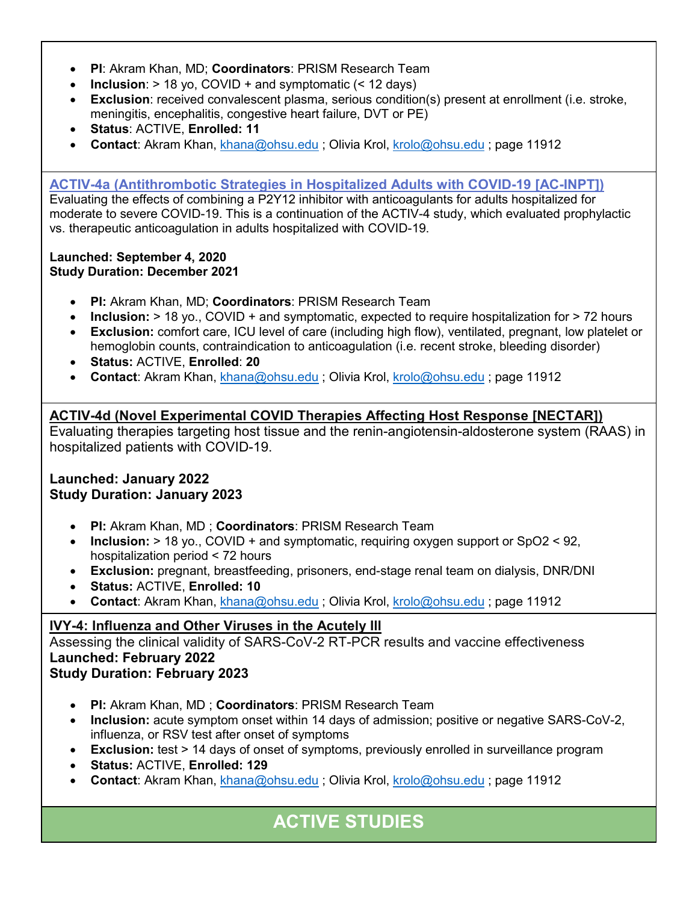- **PI**: Akram Khan, MD; **Coordinators**: PRISM Research Team
- **Inclusion**:  $> 18$  yo, COVID + and symptomatic (< 12 days)
- **Exclusion**: received convalescent plasma, serious condition(s) present at enrollment (i.e. stroke, meningitis, encephalitis, congestive heart failure, DVT or PE)
- **Status**: ACTIVE, **Enrolled: 11**
- **Contact**: Akram Khan, [khana@ohsu.edu](mailto:khana@ohsu.edu) ; Olivia Krol, [krolo@ohsu.edu](mailto:krolo@ohsu.edu) ; page 11912

#### **ACTIV-4a [\(Antithrombotic Strategies in Hospitalized Adults with COVID-19 \[AC-INPT\]\)](https://clinicaltrials.gov/ct2/show/NCT04505774)**

Evaluating the effects of combining a P2Y12 inhibitor with anticoagulants for adults hospitalized for moderate to severe COVID-19. This is a continuation of the ACTIV-4 study, which evaluated prophylactic vs. therapeutic anticoagulation in adults hospitalized with COVID-19.

#### **Launched: September 4, 2020 Study Duration: December 2021**

- **PI:** Akram Khan, MD; **Coordinators**: PRISM Research Team
- **Inclusion:**  $> 18$  yo., COVID + and symptomatic, expected to require hospitalization for  $> 72$  hours
- **Exclusion:** comfort care, ICU level of care (including high flow), ventilated, pregnant, low platelet or hemoglobin counts, contraindication to anticoagulation (i.e. recent stroke, bleeding disorder)
- **Status:** ACTIVE, **Enrolled**: **20**
- **Contact**: Akram Khan, [khana@ohsu.edu](mailto:khana@ohsu.edu) ; Olivia Krol, [krolo@ohsu.edu](mailto:krolo@ohsu.edu) ; page 11912

### **ACTIV-4d (Novel Experimental COVID Therapies Affecting Host Response [NECTAR])**

Evaluating therapies targeting host tissue and the renin-angiotensin-aldosterone system (RAAS) in hospitalized patients with COVID-19.

#### **Launched: January 2022 Study Duration: January 2023**

- **PI:** Akram Khan, MD ; **Coordinators**: PRISM Research Team
- **Inclusion:** > 18 yo., COVID + and symptomatic, requiring oxygen support or SpO2 < 92, hospitalization period < 72 hours
- **Exclusion:** pregnant, breastfeeding, prisoners, end-stage renal team on dialysis, DNR/DNI
- **Status:** ACTIVE, **Enrolled: 10**
- **Contact**: Akram Khan, [khana@ohsu.edu](mailto:khana@ohsu.edu) ; Olivia Krol, [krolo@ohsu.edu](mailto:krolo@ohsu.edu) ; page 11912

# **IVY-4: Influenza and Other Viruses in the Acutely Ill**

Assessing the clinical validity of SARS-CoV-2 RT-PCR results and vaccine effectiveness **Launched: February 2022 Study Duration: February 2023**

- **PI:** Akram Khan, MD ; **Coordinators**: PRISM Research Team
- **Inclusion:** acute symptom onset within 14 days of admission; positive or negative SARS-CoV-2, influenza, or RSV test after onset of symptoms
- **Exclusion:** test > 14 days of onset of symptoms, previously enrolled in surveillance program
- **Status:** ACTIVE, **Enrolled: 129**
- **Contact**: Akram Khan, [khana@ohsu.edu](mailto:khana@ohsu.edu) ; Olivia Krol, [krolo@ohsu.edu](mailto:krolo@ohsu.edu) ; page 11912

# **ACTIVE STUDIES**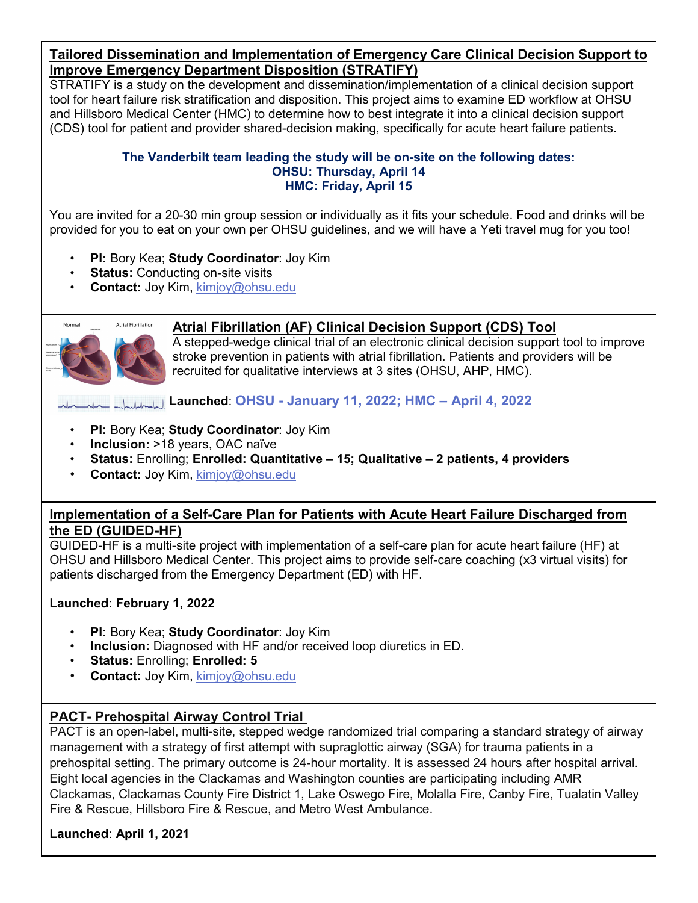#### **Tailored Dissemination and Implementation of Emergency Care Clinical Decision Support to Improve Emergency Department Disposition (STRATIFY)**

STRATIFY is a study on the development and dissemination/implementation of a clinical decision support tool for heart failure risk stratification and disposition. This project aims to examine ED workflow at OHSU and Hillsboro Medical Center (HMC) to determine how to best integrate it into a clinical decision support (CDS) tool for patient and provider shared-decision making, specifically for acute heart failure patients.

#### **The Vanderbilt team leading the study will be on-site on the following dates: OHSU: Thursday, April 14 HMC: Friday, April 15**

You are invited for a 20-30 min group session or individually as it fits your schedule. Food and drinks will be provided for you to eat on your own per OHSU guidelines, and we will have a Yeti travel mug for you too!

- **PI:** Bory Kea; **Study Coordinator**: Joy Kim
- **Status:** Conducting on-site visits
- **Contact:** Joy Kim, [kimjoy@ohsu.edu](mailto:kimjoy@ohsu.edu)



### **Atrial Fibrillation (AF) Clinical Decision Support (CDS) Tool**

A stepped-wedge clinical trial of an electronic clinical decision support tool to improve stroke prevention in patients with atrial fibrillation. Patients and providers will be recruited for qualitative interviews at 3 sites (OHSU, AHP, HMC).

**Launched**: **OHSU - January 11, 2022; HMC – April 4, 2022**

- **PI:** Bory Kea; **Study Coordinator**: Joy Kim
- **Inclusion:** >18 years, OAC naïve
- **Status:** Enrolling; **Enrolled: Quantitative – 15; Qualitative – 2 patients, 4 providers**
- **Contact:** Joy Kim, [kimjoy@ohsu.edu](mailto:kimjoy@ohsu.edu)

### **Implementation of a Self-Care Plan for Patients with Acute Heart Failure Discharged from the ED (GUIDED-HF)**

GUIDED-HF is a multi-site project with implementation of a self-care plan for acute heart failure (HF) at OHSU and Hillsboro Medical Center. This project aims to provide self-care coaching (x3 virtual visits) for patients discharged from the Emergency Department (ED) with HF.

#### **Launched**: **February 1, 2022**

- **PI:** Bory Kea; **Study Coordinator**: Joy Kim
- **Inclusion:** Diagnosed with HF and/or received loop diuretics in ED.
- **Status:** Enrolling; **Enrolled: 5**
- **Contact:** Joy Kim, [kimjoy@ohsu.edu](mailto:kimjoy@ohsu.edu)

# **PACT- Prehospital Airway Control Trial**

PACT is an open-label, multi-site, stepped wedge randomized trial comparing a standard strategy of airway management with a strategy of first attempt with supraglottic airway (SGA) for trauma patients in a prehospital setting. The primary outcome is 24-hour mortality. It is assessed 24 hours after hospital arrival. Eight local agencies in the Clackamas and Washington counties are participating including AMR Clackamas, Clackamas County Fire District 1, Lake Oswego Fire, Molalla Fire, Canby Fire, Tualatin Valley Fire & Rescue, Hillsboro Fire & Rescue, and Metro West Ambulance.

#### **Launched**: **April 1, 2021**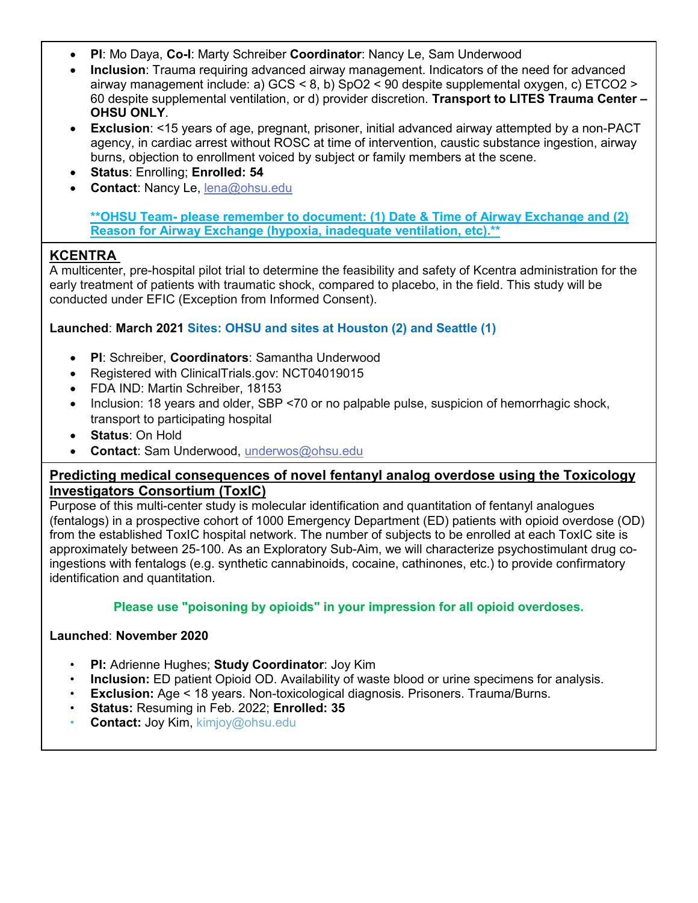- **PI**: Mo Daya, **Co-I**: Marty Schreiber **Coordinator**: Nancy Le, Sam Underwood
- **Inclusion**: Trauma requiring advanced airway management. Indicators of the need for advanced airway management include: a) GCS < 8, b) SpO2 < 90 despite supplemental oxygen, c) ETCO2 > 60 despite supplemental ventilation, or d) provider discretion. **Transport to LITES Trauma Center – OHSU ONLY**.
- **Exclusion**: <15 years of age, pregnant, prisoner, initial advanced airway attempted by a non-PACT agency, in cardiac arrest without ROSC at time of intervention, caustic substance ingestion, airway burns, objection to enrollment voiced by subject or family members at the scene.
- **Status**: Enrolling; **Enrolled: 54**
- **Contact**: Nancy Le, [lena@ohsu.edu](mailto:lena@ohsu.edu)

**\*\*OHSU Team- please remember to document: (1) Date & Time of Airway Exchange and (2) Reason for Airway Exchange (hypoxia, inadequate ventilation, etc).\*\***

# **KCENTRA**

A multicenter, pre-hospital pilot trial to determine the feasibility and safety of Kcentra administration for the early treatment of patients with traumatic shock, compared to placebo, in the field. This study will be conducted under EFIC (Exception from Informed Consent).

#### **Launched**: **March 2021 Sites: OHSU and sites at Houston (2) and Seattle (1)**

- **PI**: Schreiber, **Coordinators**: Samantha Underwood
- Registered with ClinicalTrials.gov: NCT04019015
- FDA IND: Martin Schreiber, 18153
- Inclusion: 18 years and older, SBP <70 or no palpable pulse, suspicion of hemorrhagic shock, transport to participating hospital
- **Status**: On Hold
- **Contact**: Sam Underwood, [underwos@ohsu.edu](mailto:underwos@ohsu.edu)

#### **Predicting medical consequences of novel fentanyl analog overdose using the Toxicology Investigators Consortium (ToxIC)**

Purpose of this multi-center study is molecular identification and quantitation of fentanyl analogues (fentalogs) in a prospective cohort of 1000 Emergency Department (ED) patients with opioid overdose (OD) from the established ToxIC hospital network. The number of subjects to be enrolled at each ToxIC site is approximately between 25-100. As an Exploratory Sub-Aim, we will characterize psychostimulant drug coingestions with fentalogs (e.g. synthetic cannabinoids, cocaine, cathinones, etc.) to provide confirmatory identification and quantitation.

#### **Please use "poisoning by opioids" in your impression for all opioid overdoses.**

#### **Launched**: **November 2020**

- **PI:** Adrienne Hughes; **Study Coordinator**: Joy Kim
- **Inclusion:** ED patient Opioid OD. Availability of waste blood or urine specimens for analysis.
- **Exclusion:** Age < 18 years. Non-toxicological diagnosis. Prisoners. Trauma/Burns.
- **Status:** Resuming in Feb. 2022; **Enrolled: 35**
- **Contact:** Joy Kim, kimjoy@ohsu.edu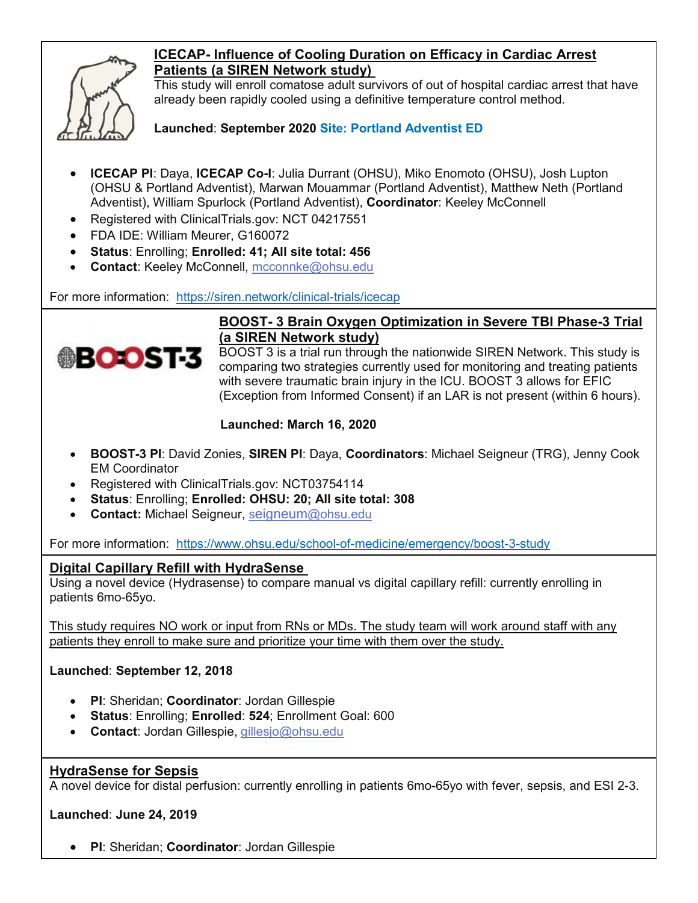

# **ICECAP- Influence of Cooling Duration on Efficacy in Cardiac Arrest Patients (a SIREN Network study)**

This study will enroll comatose adult survivors of out of hospital cardiac arrest that have already been rapidly cooled using a definitive temperature control method.

**Launched**: **September 2020 Site: Portland Adventist ED**

- **ICECAP PI**: Daya, **ICECAP Co-I**: Julia Durrant (OHSU), Miko Enomoto (OHSU), Josh Lupton (OHSU & Portland Adventist), Marwan Mouammar (Portland Adventist), Matthew Neth (Portland Adventist), William Spurlock (Portland Adventist), **Coordinator**: Keeley McConnell
- Registered with ClinicalTrials.gov: NCT 04217551
- FDA IDE: William Meurer, G160072
- **Status**: Enrolling; **Enrolled: 41; All site total: 456**
- **Contact**: Keeley McConnell, [mcconnke@ohsu.edu](mailto:mcconnke@ohsu.edu)

For more information: <https://siren.network/clinical-trials/icecap>



### **BOOST- 3 Brain Oxygen Optimization in Severe TBI Phase-3 Trial (a SIREN Network study)**

BOOST 3 is a trial run through the nationwide SIREN Network. This study is comparing two strategies currently used for monitoring and treating patients with severe traumatic brain injury in the ICU. BOOST 3 allows for EFIC (Exception from Informed Consent) if an LAR is not present (within 6 hours).

### **Launched: March 16, 2020**

- **BOOST-3 PI**: David Zonies, **SIREN PI**: Daya, **Coordinators**: Michael Seigneur (TRG), Jenny Cook EM Coordinator
- Registered with ClinicalTrials.gov: NCT03754114
- **Status**: Enrolling; **Enrolled: OHSU: 20; All site total: 308**
- **Contact:** Michael Seigneur, seigneum[@ohsu.edu](mailto:seigneum@ohsu.edu)

For more information: <https://www.ohsu.edu/school-of-medicine/emergency/boost-3-study>

#### **Digital Capillary Refill with HydraSense**

Using a novel device (Hydrasense) to compare manual vs digital capillary refill: currently enrolling in patients 6mo-65yo.

This study requires NO work or input from RNs or MDs. The study team will work around staff with any patients they enroll to make sure and prioritize your time with them over the study.

#### **Launched**: **September 12, 2018**

- **PI**: Sheridan; **Coordinator**: Jordan Gillespie
- **Status**: Enrolling; **Enrolled**: **524**; Enrollment Goal: 600
- **Contact**: Jordan Gillespie, [gillesjo@ohsu.edu](mailto:gillesjo@ohsu.edu)

# **HydraSense for Sepsis**

A novel device for distal perfusion: currently enrolling in patients 6mo-65yo with fever, sepsis, and ESI 2-3.

#### **Launched**: **June 24, 2019**

• **PI**: Sheridan; **Coordinator**: Jordan Gillespie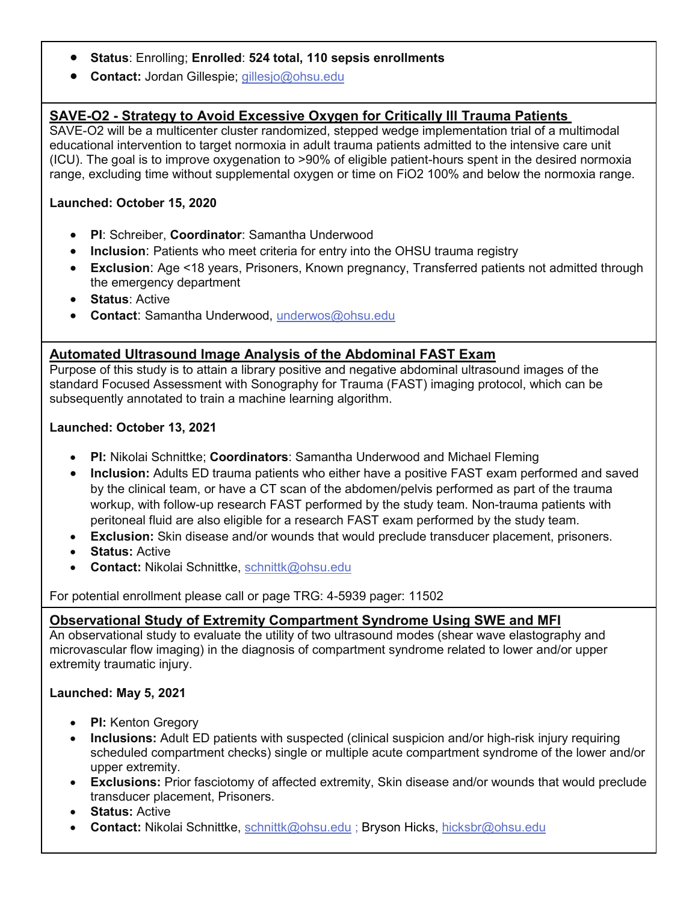- **Status**: Enrolling; **Enrolled**: **524 total, 110 sepsis enrollments**
- **Contact:** Jordan Gillespie; [gillesjo@ohsu.edu](mailto:gillesjo@ohsu.edu)

# **SAVE-O2 - Strategy to Avoid Excessive Oxygen for Critically Ill Trauma Patients**

SAVE-O2 will be a multicenter cluster randomized, stepped wedge implementation trial of a multimodal educational intervention to target normoxia in adult trauma patients admitted to the intensive care unit (ICU). The goal is to improve oxygenation to >90% of eligible patient-hours spent in the desired normoxia range, excluding time without supplemental oxygen or time on FiO2 100% and below the normoxia range.

#### **Launched: October 15, 2020**

- **PI**: Schreiber, **Coordinator**: Samantha Underwood
- **Inclusion**: Patients who meet criteria for entry into the OHSU trauma registry
- **Exclusion**: Age <18 years, Prisoners, Known pregnancy, Transferred patients not admitted through the emergency department
- **Status**: Active
- **Contact**: Samantha Underwood, [underwos@ohsu.edu](mailto:underwos@ohsu.edu)

#### **Automated Ultrasound Image Analysis of the Abdominal FAST Exam**

Purpose of this study is to attain a library positive and negative abdominal ultrasound images of the standard Focused Assessment with Sonography for Trauma (FAST) imaging protocol, which can be subsequently annotated to train a machine learning algorithm.

#### **Launched: October 13, 2021**

- **PI:** Nikolai Schnittke; **Coordinators**: Samantha Underwood and Michael Fleming
- **Inclusion:** Adults ED trauma patients who either have a positive FAST exam performed and saved by the clinical team, or have a CT scan of the abdomen/pelvis performed as part of the trauma workup, with follow-up research FAST performed by the study team. Non-trauma patients with peritoneal fluid are also eligible for a research FAST exam performed by the study team.
- **Exclusion:** Skin disease and/or wounds that would preclude transducer placement, prisoners.
- **Status:** Active
- **Contact:** Nikolai Schnittke, [schnittk@ohsu.edu](mailto:schnittk@ohsu.edu)

For potential enrollment please call or page TRG: 4-5939 pager: 11502

#### **Observational Study of Extremity Compartment Syndrome Using SWE and MFI**

An observational study to evaluate the utility of two ultrasound modes (shear wave elastography and microvascular flow imaging) in the diagnosis of compartment syndrome related to lower and/or upper extremity traumatic injury.

#### **Launched: May 5, 2021**

- **PI:** Kenton Gregory
- **Inclusions:** Adult ED patients with suspected (clinical suspicion and/or high-risk injury requiring scheduled compartment checks) single or multiple acute compartment syndrome of the lower and/or upper extremity.
- **Exclusions:** Prior fasciotomy of affected extremity, Skin disease and/or wounds that would preclude transducer placement, Prisoners.
- **Status:** Active
- **Contact:** Nikolai Schnittke, [schnittk@ohsu.edu](mailto:schnittk@ohsu.edu) ; Bryson Hicks, [hicksbr@ohsu.edu](mailto:hicksbr@ohsu.edu)